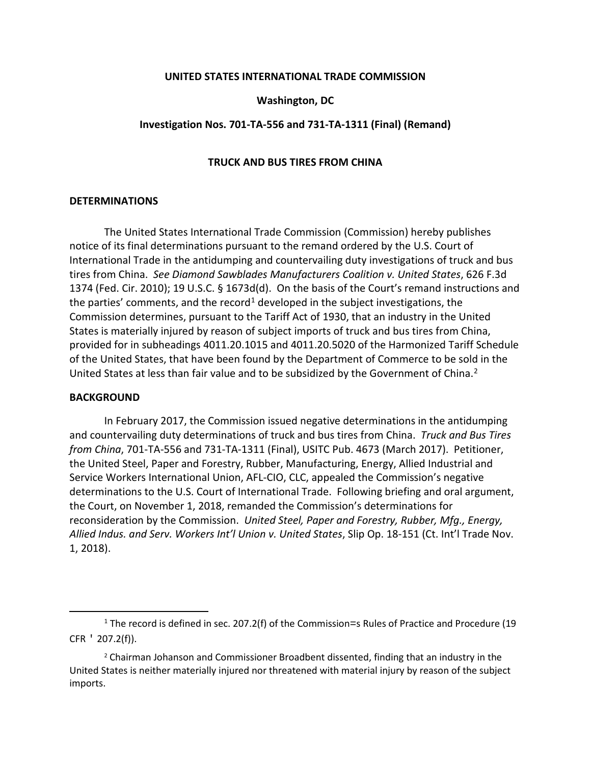## **UNITED STATES INTERNATIONAL TRADE COMMISSION**

# **Washington, DC**

## **Investigation Nos. 701-TA-556 and 731-TA-1311 (Final) (Remand)**

## **TRUCK AND BUS TIRES FROM CHINA**

#### **DETERMINATIONS**

The United States International Trade Commission (Commission) hereby publishes notice of its final determinations pursuant to the remand ordered by the U.S. Court of International Trade in the antidumping and countervailing duty investigations of truck and bus tires from China. *See Diamond Sawblades Manufacturers Coalition v. United States*, 626 F.3d 1374 (Fed. Cir. 2010); 19 U.S.C. § 1673d(d). On the basis of the Court's remand instructions and the parties' comments, and the record<sup>[1](#page-0-0)</sup> developed in the subject investigations, the Commission determines, pursuant to the Tariff Act of 1930, that an industry in the United States is materially injured by reason of subject imports of truck and bus tires from China, provided for in subheadings 4011.20.1015 and 4011.20.5020 of the Harmonized Tariff Schedule of the United States, that have been found by the Department of Commerce to be sold in the United States at less than fair value and to be subsidized by the Government of China.<sup>[2](#page-0-1)</sup>

#### **BACKGROUND**

In February 2017, the Commission issued negative determinations in the antidumping and countervailing duty determinations of truck and bus tires from China. *Truck and Bus Tires from China*, 701-TA-556 and 731-TA-1311 (Final), USITC Pub. 4673 (March 2017). Petitioner, the United Steel, Paper and Forestry, Rubber, Manufacturing, Energy, Allied Industrial and Service Workers International Union, AFL-CIO, CLC, appealed the Commission's negative determinations to the U.S. Court of International Trade. Following briefing and oral argument, the Court, on November 1, 2018, remanded the Commission's determinations for reconsideration by the Commission. *United Steel, Paper and Forestry, Rubber, Mfg., Energy, Allied Indus. and Serv. Workers Int'l Union v. United States*, Slip Op. 18-151 (Ct. Int'l Trade Nov. 1, 2018).

<span id="page-0-0"></span><sup>&</sup>lt;sup>1</sup> The record is defined in sec. 207.2(f) of the Commission=s Rules of Practice and Procedure (19 CFR ' 207.2(f)).

<span id="page-0-1"></span> $2$  Chairman Johanson and Commissioner Broadbent dissented, finding that an industry in the United States is neither materially injured nor threatened with material injury by reason of the subject imports.